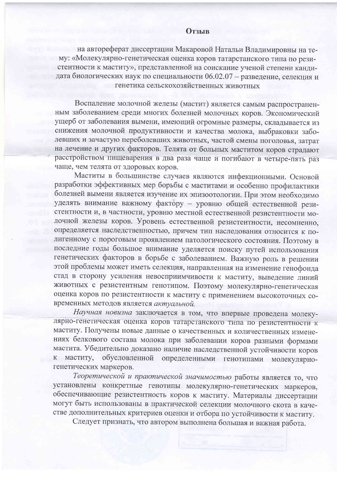## **Отзыв**

на автореферат диссертации Макаровой Натальи Владимировны на тему: «Молекулярно-генетическая оценка коров татарстанского типа по резистентности к маститу», представленной на соискание ученой степени кандидата биологических наук по специальности 06.02.07 - разведение, селекция и генетика сельскохозяйственных животных

Воспаление молочной железы (мастит) является самым распространенным заболеванием среди многих болезней молочных коров. Экономический ущерб от заболевания вымени, имеющий огромные размеры, складывается из снижения молочной продуктивности и качества молока, выбраковки заболевших и зачастую переболевших животных, частой смены поголовья, затрат на лечение и других факторов. Телята от больных маститом коров страдают расстройством пищеварения в два раза чаще и погибают в четыре-пять раз чаще, чем телята от здоровых коров.

Маститы в большинстве случаев являются инфекционными. Основой разработки эффективных мер борьбы с маститами и особенно профилактики болезней вымени является изучение их эпизоотологии. При этом необходимо уделять внимание важному фактору - уровню общей естественной резистентности и, в частности, уровню местной естественной резистентности молочной железы коров. Уровень естественной резистентности, несомненно, определяется наследственностью, причем тип наследования относится к полигенному с пороговым проявлением патологического состояния. Поэтому в последние годы большое внимание уделяется поиску путей использования генетических факторов в борьбе с заболеванием. Важную роль в решении этой проблемы может иметь селекция, направленная на изменение генофонда стад в сторону усиления невосприимчивости к маститу, выведение линий животных с резистентным генотипом. Поэтому молекулярно-генетическая оценка коров по резистентности к маститу с применением высокоточных современных методов является актуальной.

Научная новизна заключается в том, что впервые проведена молекулярно-генетическая оценка коров татарстанского типа по резистентности к маститу. Получены новые данные о качественных и количественных изменениях белкового состава молока при заболевании коров разными формами мастита. Убедительно доказано наличие наследственной устойчивости коров обусловленной определенными генотипами молекулярнок маститу, генетических маркеров.

Теоретической и практической значимостью работы является то, что установлены конкретные генотипы молекулярно-генетических маркеров, обеспечивающие резистентность коров к маститу. Материалы диссертации могут быть использованы в практической селекции молочного скота в качестве дополнительных критериев оценки и отбора по устойчивости к маститу.

Следует признать, что автором выполнена большая и важная работа.